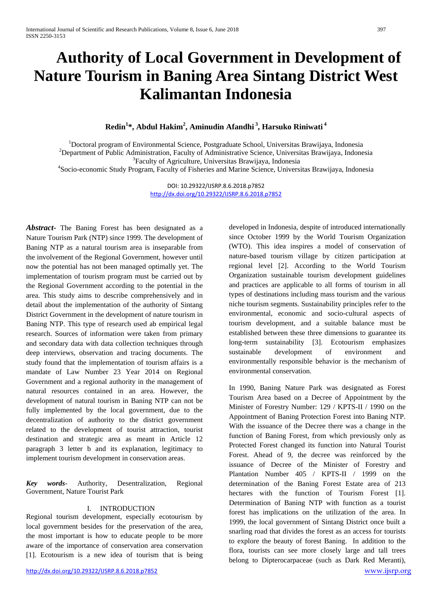# **Authority of Local Government in Development of Nature Tourism in Baning Area Sintang District West Kalimantan Indonesia**

## **Redin<sup>1</sup> \*, Abdul Hakim2 , Aminudin Afandhi <sup>3</sup> , Harsuko Riniwati <sup>4</sup>**

<sup>1</sup> Doctoral program of Environmental Science, Postgraduate School, Universitas Brawijaya, Indonesia<sup>2</sup><br><sup>2</sup> Department of Bublie Administration, Fecultu of Administrative Science, Universites Brawijaya, Indonesia<sup>2</sup> <sup>2</sup>Department of Public Administration, Faculty of Administrative Science, Universitas Brawijaya, Indonesia <sup>3</sup> Faculty of Agriculture, Universitas Brawijaya, Indonesia <sup>4</sup>Socio-economic Study Program, Faculty of Fisheries and Marine Science, Universitas Brawijaya, Indonesia

> DOI: 10.29322/IJSRP.8.6.2018.p7852 <http://dx.doi.org/10.29322/IJSRP.8.6.2018.p7852>

*Abstract-* The Baning Forest has been designated as a Nature Tourism Park (NTP) since 1999. The development of Baning NTP as a natural tourism area is inseparable from the involvement of the Regional Government, however until now the potential has not been managed optimally yet. The implementation of tourism program must be carried out by the Regional Government according to the potential in the area. This study aims to describe comprehensively and in detail about the implementation of the authority of Sintang District Government in the development of nature tourism in Baning NTP. This type of research used ab empirical legal research. Sources of information were taken from primary and secondary data with data collection techniques through deep interviews, observation and tracing documents. The study found that the implementation of tourism affairs is a mandate of Law Number 23 Year 2014 on Regional Government and a regional authority in the management of natural resources contained in an area. However, the development of natural tourism in Baning NTP can not be fully implemented by the local government, due to the decentralization of authority to the district government related to the development of tourist attraction, tourist destination and strategic area as meant in Article 12 paragraph 3 letter b and its explanation, legitimacy to implement tourism development in conservation areas.

*Key words*- Authority, Desentralization, Regional Government, Nature Tourist Park

## I. INTRODUCTION

Regional tourism development, especially ecotourism by local government besides for the preservation of the area, the most important is how to educate people to be more aware of the importance of conservation area conservation [1]. Ecotourism is a new idea of tourism that is being

developed in Indonesia, despite of introduced internationally since October 1999 by the World Tourism Organization (WTO). This idea inspires a model of conservation of nature-based tourism village by citizen participation at regional level [2]. According to the World Tourism Organization sustainable tourism development guidelines and practices are applicable to all forms of tourism in all types of destinations including mass tourism and the various niche tourism segments. Sustainability principles refer to the environmental, economic and socio-cultural aspects of tourism development, and a suitable balance must be established between these three dimensions to guarantee its long-term sustainability [3]. Ecotourism emphasizes sustainable development of environment and environmentally responsible behavior is the mechanism of environmental conservation.

In 1990, Baning Nature Park was designated as Forest Tourism Area based on a Decree of Appointment by the Minister of Forestry Number: 129 / KPTS-II / 1990 on the Appointment of Baning Protection Forest into Baning NTP. With the issuance of the Decree there was a change in the function of Baning Forest, from which previously only as Protected Forest changed its function into Natural Tourist Forest. Ahead of 9, the decree was reinforced by the issuance of Decree of the Minister of Forestry and Plantation Number 405 / KPTS-II / 1999 on the determination of the Baning Forest Estate area of 213 hectares with the function of Tourism Forest [1]. Determination of Baning NTP with function as a tourist forest has implications on the utilization of the area. In 1999, the local government of Sintang District once built a snarling road that divides the forest as an access for tourists to explore the beauty of forest Baning. In addition to the flora, tourists can see more closely large and tall trees belong to Dipterocarpaceae (such as Dark Red Meranti),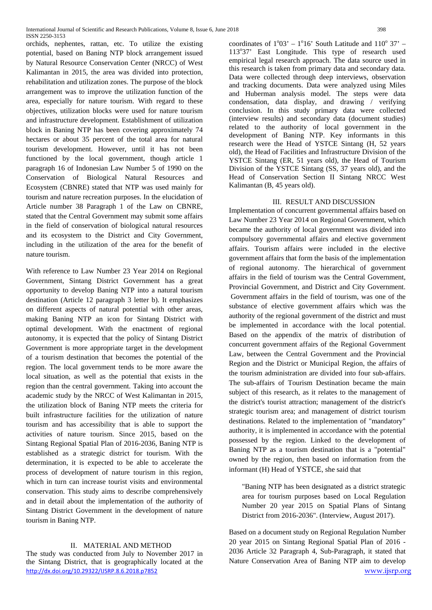orchids, nephentes, rattan, etc. To utilize the existing potential, based on Baning NTP block arrangement issued by Natural Resource Conservation Center (NRCC) of West Kalimantan in 2015, the area was divided into protection, rehabilitation and utilization zones. The purpose of the block arrangement was to improve the utilization function of the area, especially for nature tourism. With regard to these objectives, utilization blocks were used for nature tourism and infrastructure development. Establishment of utilization block in Baning NTP has been covering approximately 74 hectares or about 35 percent of the total area for natural tourism development. However, until it has not been functioned by the local government, though article 1 paragraph 16 of Indonesian Law Number 5 of 1990 on the Conservation of Biological Natural Resources and Ecosystem (CBNRE) stated that NTP was used mainly for tourism and nature recreation purposes. In the elucidation of Article number 38 Paragraph 1 of the Law on CBNRE, stated that the Central Government may submit some affairs in the field of conservation of biological natural resources and its ecosystem to the District and City Government, including in the utilization of the area for the benefit of nature tourism.

With reference to Law Number 23 Year 2014 on Regional Government, Sintang District Government has a great opportunity to develop Baning NTP into a natural tourism destination (Article 12 paragraph 3 letter b). It emphasizes on different aspects of natural potential with other areas, making Baning NTP an icon for Sintang District with optimal development. With the enactment of regional autonomy, it is expected that the policy of Sintang District Government is more appropriate target in the development of a tourism destination that becomes the potential of the region. The local government tends to be more aware the local situation, as well as the potential that exists in the region than the central government. Taking into account the academic study by the NRCC of West Kalimantan in 2015, the utilization block of Baning NTP meets the criteria for built infrastructure facilities for the utilization of nature tourism and has accessibility that is able to support the activities of nature tourism. Since 2015, based on the Sintang Regional Spatial Plan of 2016-2036, Baning NTP is established as a strategic district for tourism. With the determination, it is expected to be able to accelerate the process of development of nature tourism in this region, which in turn can increase tourist visits and environmental conservation. This study aims to describe comprehensively and in detail about the implementation of the authority of Sintang District Government in the development of nature tourism in Baning NTP.

## II. MATERIAL AND METHOD

<http://dx.doi.org/10.29322/IJSRP.8.6.2018.p7852> [www.ijsrp.org](http://ijsrp.org/) The study was conducted from July to November 2017 in the Sintang District, that is geographically located at the

coordinates of  $1^{\circ}03' - 1^{\circ}16'$  South Latitude and  $110^{\circ}37'$  -113°37' East Longitude. This type of research used empirical legal research approach. The data source used in this research is taken from primary data and secondary data. Data were collected through deep interviews, observation and tracking documents. Data were analyzed using Miles and Huberman analysis model. The steps were data condensation, data display, and drawing / verifying conclusion. In this study primary data were collected (interview results) and secondary data (document studies) related to the authority of local government in the development of Baning NTP. Key informants in this research were the Head of YSTCE Sintang (H, 52 years old), the Head of Facilities and Infrastructure Division of the YSTCE Sintang (ER, 51 years old), the Head of Tourism Division of the YSTCE Sintang (SS, 37 years old), and the Head of Conservation Section II Sintang NRCC West Kalimantan (B, 45 years old).

## III. RESULT AND DISCUSSION

Implementation of concurrent governmental affairs based on Law Number 23 Year 2014 on Regional Government, which became the authority of local government was divided into compulsory governmental affairs and elective government affairs. Tourism affairs were included in the elective government affairs that form the basis of the implementation of regional autonomy. The hierarchical of government affairs in the field of tourism was the Central Government, Provincial Government, and District and City Government. Government affairs in the field of tourism, was one of the substance of elective government affairs which was the authority of the regional government of the district and must be implemented in accordance with the local potential. Based on the appendix of the matrix of distribution of concurrent government affairs of the Regional Government Law, between the Central Government and the Provincial Region and the District or Municipal Region, the affairs of the tourism administration are divided into four sub-affairs. The sub-affairs of Tourism Destination became the main subject of this research, as it relates to the management of the district's tourist attraction; management of the district's strategic tourism area; and management of district tourism destinations. Related to the implementation of "mandatory" authority, it is implemented in accordance with the potential possessed by the region. Linked to the development of Baning NTP as a tourism destination that is a "potential" owned by the region, then based on information from the informant (H) Head of YSTCE, she said that

"Baning NTP has been designated as a district strategic area for tourism purposes based on Local Regulation Number 20 year 2015 on Spatial Plans of Sintang District from 2016-2036". (Interview, August 2017).

Based on a document study on Regional Regulation Number 20 year 2015 on Sintang Regional Spatial Plan of 2016 - 2036 Article 32 Paragraph 4, Sub-Paragraph, it stated that Nature Conservation Area of Baning NTP aim to develop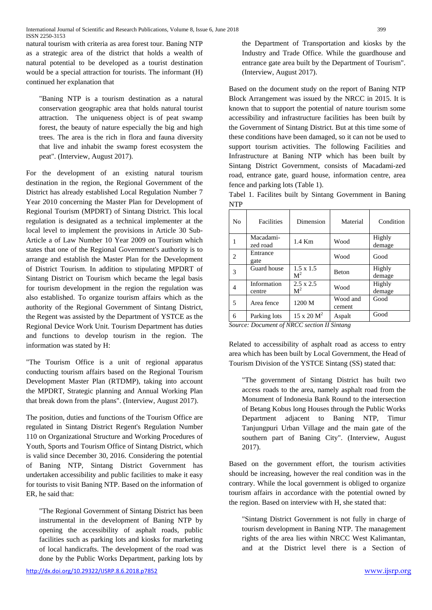natural tourism with criteria as area forest tour. Baning NTP as a strategic area of the district that holds a wealth of natural potential to be developed as a tourist destination would be a special attraction for tourists. The informant (H) continued her explanation that

"Baning NTP is a tourism destination as a natural conservation geographic area that holds natural tourist attraction. The uniqueness object is of peat swamp forest, the beauty of nature especially the big and high trees. The area is the rich in flora and fauna diversity that live and inhabit the swamp forest ecosystem the peat". (Interview, August 2017).

For the development of an existing natural tourism destination in the region, the Regional Government of the District has already established Local Regulation Number 7 Year 2010 concerning the Master Plan for Development of Regional Tourism (MPDRT) of Sintang District. This local regulation is designated as a technical implementer at the local level to implement the provisions in Article 30 Sub-Article a of Law Number 10 Year 2009 on Tourism which states that one of the Regional Government's authority is to arrange and establish the Master Plan for the Development of District Tourism. In addition to stipulating MPDRT of Sintang District on Tourism which became the legal basis for tourism development in the region the regulation was also established. To organize tourism affairs which as the authority of the Regional Government of Sintang District, the Regent was assisted by the Department of YSTCE as the Regional Device Work Unit. Tourism Department has duties and functions to develop tourism in the region. The information was stated by H:

"The Tourism Office is a unit of regional apparatus conducting tourism affairs based on the Regional Tourism Development Master Plan (RTDMP), taking into account the MPDRT, Strategic planning and Annual Working Plan that break down from the plans". (Interview, August 2017).

The position, duties and functions of the Tourism Office are regulated in Sintang District Regent's Regulation Number 110 on Organizational Structure and Working Procedures of Youth, Sports and Tourism Office of Sintang District, which is valid since December 30, 2016. Considering the potential of Baning NTP, Sintang District Government has undertaken accessibility and public facilities to make it easy for tourists to visit Baning NTP. Based on the information of ER, he said that:

"The Regional Government of Sintang District has been instrumental in the development of Baning NTP by opening the accessibility of asphalt roads, public facilities such as parking lots and kiosks for marketing of local handicrafts. The development of the road was done by the Public Works Department, parking lots by

the Department of Transportation and kiosks by the Industry and Trade Office. While the guardhouse and entrance gate area built by the Department of Tourism". (Interview, August 2017).

Based on the document study on the report of Baning NTP Block Arrangement was issued by the NRCC in 2015. It is known that to support the potential of nature tourism some accessibility and infrastructure facilities has been built by the Government of Sintang District. But at this time some of these conditions have been damaged, so it can not be used to support tourism activities. The following Facilities and Infrastructure at Baning NTP which has been built by Sintang District Government, consists of Macadami-zed road, entrance gate, guard house, information centre, area fence and parking lots (Table 1).

Tabel 1. Facilites built by Sintang Government in Baning NTP

| No.                                                                                                                                                                                                                                                                                                                                                                                                         | Facilities            | Dimension                          | Material           | Condition        |
|-------------------------------------------------------------------------------------------------------------------------------------------------------------------------------------------------------------------------------------------------------------------------------------------------------------------------------------------------------------------------------------------------------------|-----------------------|------------------------------------|--------------------|------------------|
|                                                                                                                                                                                                                                                                                                                                                                                                             | Macadami-<br>zed road | 1.4 Km                             | Wood               | Highly<br>demage |
| $\mathfrak{D}_{1}^{(1)} = \mathfrak{D}_{2}^{(1)} = \mathfrak{D}_{2}^{(1)} = \mathfrak{D}_{2}^{(1)} = \mathfrak{D}_{2}^{(1)} = \mathfrak{D}_{2}^{(1)} = \mathfrak{D}_{2}^{(1)} = \mathfrak{D}_{2}^{(1)} = \mathfrak{D}_{2}^{(1)} = \mathfrak{D}_{2}^{(1)} = \mathfrak{D}_{2}^{(1)} = \mathfrak{D}_{2}^{(1)} = \mathfrak{D}_{2}^{(1)} = \mathfrak{D}_{2}^{(1)} = \mathfrak{D}_{2}^{(1)} = \mathfrak{D}_{2}^{$ | Entrance<br>gate      |                                    | Wood               | Good             |
| 3                                                                                                                                                                                                                                                                                                                                                                                                           | Guard house           | $1.5 \times 1.5$<br>M <sup>2</sup> | Beton              | Highly<br>demage |
| 4                                                                                                                                                                                                                                                                                                                                                                                                           | Information<br>centre | $2.5 \times 2.5$<br>$\mathbf{M}^2$ | Wood               | Highly<br>demage |
| 5                                                                                                                                                                                                                                                                                                                                                                                                           | Area fence            | 1200 M                             | Wood and<br>cement | Good             |
| 6                                                                                                                                                                                                                                                                                                                                                                                                           | Parking lots          | $15 \times 20 M^2$                 | Aspalt             | Good             |

*Source: Document of NRCC section II Sintang*

Related to accessibility of asphalt road as access to entry area which has been built by Local Government, the Head of Tourism Division of the YSTCE Sintang (SS) stated that:

"The government of Sintang District has built two access roads to the area, namely asphalt road from the Monument of Indonesia Bank Round to the intersection of Betang Kobus long Houses through the Public Works Department adjacent to Baning NTP, Timur Tanjungpuri Urban Village and the main gate of the southern part of Baning City". (Interview, August 2017).

Based on the government effort, the tourism activities should be increasing, however the real condition was in the contrary. While the local government is obliged to organize tourism affairs in accordance with the potential owned by the region. Based on interview with H, she stated that:

"Sintang District Government is not fully in charge of tourism development in Baning NTP. The management rights of the area lies within NRCC West Kalimantan, and at the District level there is a Section of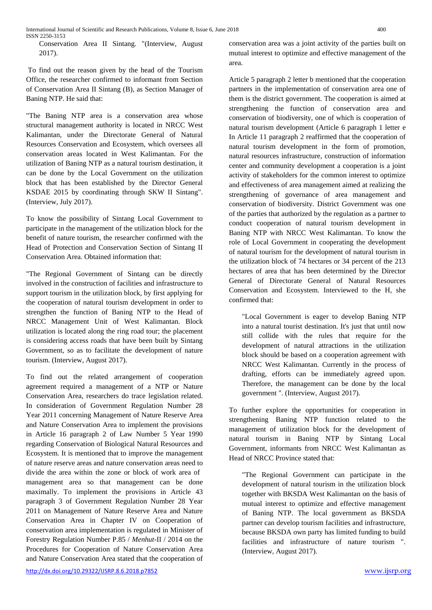Conservation Area II Sintang. "(Interview, August 2017).

To find out the reason given by the head of the Tourism Office, the researcher confirmed to informant from Section of Conservation Area II Sintang (B), as Section Manager of Baning NTP. He said that:

"The Baning NTP area is a conservation area whose structural management authority is located in NRCC West Kalimantan, under the Directorate General of Natural Resources Conservation and Ecosystem, which oversees all conservation areas located in West Kalimantan. For the utilization of Baning NTP as a natural tourism destination, it can be done by the Local Government on the utilization block that has been established by the Director General KSDAE 2015 by coordinating through SKW II Sintang". (Interview, July 2017).

To know the possibility of Sintang Local Government to participate in the management of the utilization block for the benefit of nature tourism, the researcher confirmed with the Head of Protection and Conservation Section of Sintang II Conservation Area. Obtained information that:

"The Regional Government of Sintang can be directly involved in the construction of facilities and infrastructure to support tourism in the utilization block, by first applying for the cooperation of natural tourism development in order to strengthen the function of Baning NTP to the Head of NRCC Management Unit of West Kalimantan. Block utilization is located along the ring road tour; the placement is considering access roads that have been built by Sintang Government, so as to facilitate the development of nature tourism. (Interview, August 2017).

To find out the related arrangement of cooperation agreement required a management of a NTP or Nature Conservation Area, researchers do trace legislation related. In consideration of Government Regulation Number 28 Year 2011 concerning Management of Nature Reserve Area and Nature Conservation Area to implement the provisions in Article 16 paragraph 2 of Law Number 5 Year 1990 regarding Conservation of Biological Natural Resources and Ecosystem. It is mentioned that to improve the management of nature reserve areas and nature conservation areas need to divide the area within the zone or block of work area of management area so that management can be done maximally. To implement the provisions in Article 43 paragraph 3 of Government Regulation Number 28 Year 2011 on Management of Nature Reserve Area and Nature Conservation Area in Chapter IV on Cooperation of conservation area implementation is regulated in Minister of Forestry Regulation Number P.85 / *Menhut*-II / 2014 on the Procedures for Cooperation of Nature Conservation Area and Nature Conservation Area stated that the cooperation of

<http://dx.doi.org/10.29322/IJSRP.8.6.2018.p7852> [www.ijsrp.org](http://ijsrp.org/)

conservation area was a joint activity of the parties built on mutual interest to optimize and effective management of the area.

Article 5 paragraph 2 letter b mentioned that the cooperation partners in the implementation of conservation area one of them is the district government. The cooperation is aimed at strengthening the function of conservation area and conservation of biodiversity, one of which is cooperation of natural tourism development (Article 6 paragraph 1 letter e In Article 11 paragraph 2 reaffirmed that the cooperation of natural tourism development in the form of promotion, natural resources infrastructure, construction of information center and community development a cooperation is a joint activity of stakeholders for the common interest to optimize and effectiveness of area management aimed at realizing the strengthening of governance of area management and conservation of biodiversity. District Government was one of the parties that authorized by the regulation as a partner to conduct cooperation of natural tourism development in Baning NTP with NRCC West Kalimantan. To know the role of Local Government in cooperating the development of natural tourism for the development of natural tourism in the utilization block of 74 hectares or 34 percent of the 213 hectares of area that has been determined by the Director General of Directorate General of Natural Resources Conservation and Ecosystem. Interviewed to the H, she confirmed that:

"Local Government is eager to develop Baning NTP into a natural tourist destination. It's just that until now still collide with the rules that require for the development of natural attractions in the utilization block should be based on a cooperation agreement with NRCC West Kalimantan. Currently in the process of drafting, efforts can be immediately agreed upon. Therefore, the management can be done by the local government ". (Interview, August 2017).

To further explore the opportunities for cooperation in strengthening Baning NTP function related to the management of utilization block for the development of natural tourism in Baning NTP by Sintang Local Government, informants from NRCC West Kalimantan as Head of NRCC Province stated that:

"The Regional Government can participate in the development of natural tourism in the utilization block together with BKSDA West Kalimantan on the basis of mutual interest to optimize and effective management of Baning NTP. The local government as BKSDA partner can develop tourism facilities and infrastructure, because BKSDA own party has limited funding to build facilities and infrastructure of nature tourism ". (Interview, August 2017).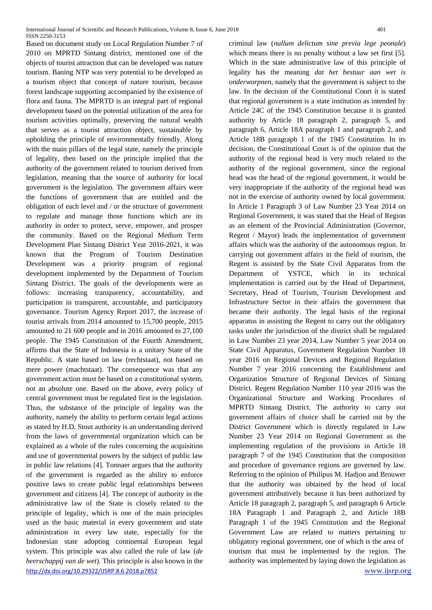<http://dx.doi.org/10.29322/IJSRP.8.6.2018.p7852> [www.ijsrp.org](http://ijsrp.org/) Based on document study on Local Regulation Number 7 of 2010 on MPRTD Sintang district, mentioned one of the objects of tourist attraction that can be developed was nature tourism. Baning NTP was very potential to be developed as a tourism object that concept of nature tourism, because forest landscape supporting accompanied by the existence of flora and fauna. The MPRTD is an integral part of regional development based on the potential utilization of the area for tourism activities optimally, preserving the natural wealth that serves as a tourist attraction object, sustainable by upholding the principle of environmentally friendly. Along with the main pillars of the legal state, namely the principle of legality, then based on the principle implied that the authority of the government related to tourism derived from legislation, meaning that the source of authority for local government is the legislation. The government affairs were the functions of government that are entitled and the obligation of each level and / or the structure of government to regulate and manage those functions which are its authority in order to protect, serve, empower, and prosper the community. Based on the Regional Medium Term Development Plan Sintang District Year 2016-2021, it was known that the Program of Tourism Destination Development was a priority program of regional development implemented by the Department of Tourism Sintang District. The goals of the developments were as follows: increasing transparency, accountability, and participation in transparent, accountable, and participatory governance. Tourism Agency Report 2017, the increase of tourist arrivals from 2014 amounted to 15,700 people, 2015 amounted to 21 600 people and in 2016 amounted to 27,100 people. The 1945 Constitution of the Fourth Amendment, affirms that the State of Indonesia is a unitary State of the Republic. A state based on law (rechtstaat), not based on mere power (machtstaat). The consequence was that any government action must be based on a constitutional system, not an absolute one. Based on the above, every policy of central government must be regulated first in the legislation. Thus, the substance of the principle of legality was the authority, namely the ability to perform certain legal actions as stated by H.D. Stout authority is an understanding derived from the laws of governmental organization which can be explained as a whole of the rules concerning the acquisition and use of governmental powers by the subject of public law in public law relations [4]. Tonnaer argues that the authority of the government is regarded as the ability to enforce positive laws to create public legal relationships between government and citizens [4]. The concept of authority in the administrative law of the State is closely related to the principle of legality, which is one of the main principles used as the basic material in every government and state administration in every law state, especially for the Indonesian state adopting continental European legal system. This principle was also called the rule of law (*de heerschappij van de wet*). This principle is also known in the

criminal law (*nullum delictum sine previa lege peonale*) which means there is no penalty without a law set first [5]. Which in the state administrative law of this principle of legality has the meaning *dat het bestuur aan wet is onderworpnen*, namely that the government is subject to the law. In the decision of the Constitutional Court it is stated that regional government is a state institution as intended by Article 24C of the 1945 Constitution because it is granted authority by Article 18 paragraph 2, paragraph 5, and paragraph 6, Article 18A paragraph 1 and paragraph 2, and Article 18B paragraph 1 of the 1945 Constitution. In its decision, the Constitutional Court is of the opinion that the authority of the regional head is very much related to the authority of the regional government, since the regional head was the head of the regional government, it would be very inappropriate if the authority of the regional head was not in the exercise of authority owned by local government. In Article 1 Paragraph 3 of Law Number 23 Year 2014 on Regional Government, it was stated that the Head of Region as an element of the Provincial Administration (Governor, Regent / Mayor) leads the implementation of government affairs which was the authority of the autonomous region. In carrying out government affairs in the field of tourism, the Regent is assisted by the State Civil Apparatus from the Department of YSTCE, which in its technical implementation is carried out by the Head of Department, Secretary, Head of Tourism, Tourism Development and Infrastructure Sector in their affairs the government that became their authority. The legal basis of the regional apparatus in assisting the Regent to carry out the obligatory tasks under the jurisdiction of the district shall be regulated in Law Number 23 year 2014, Law Number 5 year 2014 on State Civil Apparatus, Government Regulation Number 18 year 2016 on Regional Devices and Regional Regulation Number 7 year 2016 concerning the Establishment and Organization Structure of Regional Devices of Sintang District. Regent Regulation Number 110 year 2016 was the Organizational Structure and Working Procedures of MPRTD Sintang District. The authority to carry out government affairs of choice shall be carried out by the District Government which is directly regulated in Law Number 23 Year 2014 on Regional Government as the implementing regulation of the provisions in Article 18 paragraph 7 of the 1945 Constitution that the composition and procedure of governance regions are governed by law. Referring to the opinion of Philipus M. Hadjon and Brouwer that the authority was obtained by the head of local government attributively because it has been authorized by Article 18 paragraph 2, paragraph 5, and paragraph 6 Article 18A Paragraph 1 and Paragraph 2, and Article 18B Paragraph 1 of the 1945 Constitution and the Regional Government Law are related to matters pertaining to obligatory regional government, one of which is the area of tourism that must be implemented by the region. The authority was implemented by laying down the legislation as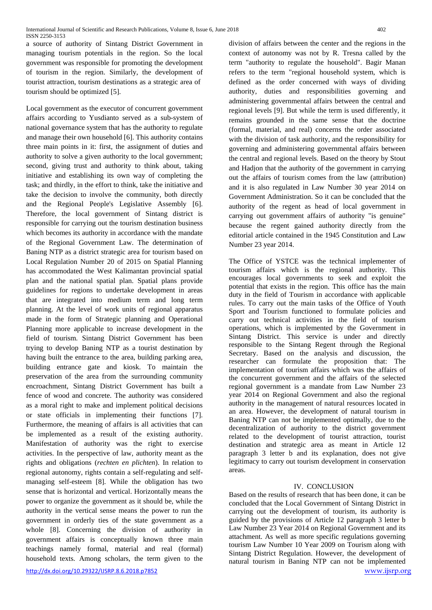a source of authority of Sintang District Government in managing tourism potentials in the region. So the local government was responsible for promoting the development of tourism in the region. Similarly, the development of tourist attraction, tourism destinations as a strategic area of tourism should be optimized [5].

Local government as the executor of concurrent government affairs according to Yusdianto served as a sub-system of national governance system that has the authority to regulate and manage their own household [6]. This authority contains three main points in it: first, the assignment of duties and authority to solve a given authority to the local government; second, giving trust and authority to think about, taking initiative and establishing its own way of completing the task; and thirdly, in the effort to think, take the initiative and take the decision to involve the community, both directly and the Regional People's Legislative Assembly [6]. Therefore, the local government of Sintang district is responsible for carrying out the tourism destination business which becomes its authority in accordance with the mandate of the Regional Government Law. The determination of Baning NTP as a district strategic area for tourism based on Local Regulation Number 20 of 2015 on Spatial Planning has accommodated the West Kalimantan provincial spatial plan and the national spatial plan. Spatial plans provide guidelines for regions to undertake development in areas that are integrated into medium term and long term planning. At the level of work units of regional apparatus made in the form of Strategic planning and Operational Planning more applicable to increase development in the field of tourism. Sintang District Government has been trying to develop Baning NTP as a tourist destination by having built the entrance to the area, building parking area, building entrance gate and kiosk. To maintain the preservation of the area from the surrounding community encroachment, Sintang District Government has built a fence of wood and concrete. The authority was considered as a moral right to make and implement political decisions or state officials in implementing their functions [7]. Furthermore, the meaning of affairs is all activities that can be implemented as a result of the existing authority. Manifestation of authority was the right to exercise activities. In the perspective of law, authority meant as the rights and obligations (*rechten en plichten*). In relation to regional autonomy, rights contain a self-regulating and selfmanaging self-esteem [8]. While the obligation has two sense that is horizontal and vertical. Horizontally means the power to organize the government as it should be, while the authority in the vertical sense means the power to run the government in orderly ties of the state government as a whole [8]. Concerning the division of authority in government affairs is conceptually known three main teachings namely formal, material and real (formal) household texts. Among scholars, the term given to the

division of affairs between the center and the regions in the context of autonomy was not by R. Tresna called by the term "authority to regulate the household". Bagir Manan refers to the term "regional household system, which is defined as the order concerned with ways of dividing authority, duties and responsibilities governing and administering governmental affairs between the central and regional levels [9]. But while the term is used differently, it remains grounded in the same sense that the doctrine (formal, material, and real) concerns the order associated with the division of task authority, and the responsibility for governing and administering governmental affairs between the central and regional levels. Based on the theory by Stout and Hadjon that the authority of the government in carrying out the affairs of tourism comes from the law (attribution) and it is also regulated in Law Number 30 year 2014 on Government Administration. So it can be concluded that the authority of the regent as head of local government in carrying out government affairs of authority "is genuine" because the regent gained authority directly from the editorial article contained in the 1945 Constitution and Law Number 23 year 2014.

The Office of YSTCE was the technical implementer of tourism affairs which is the regional authority. This encourages local governments to seek and exploit the potential that exists in the region. This office has the main duty in the field of Tourism in accordance with applicable rules. To carry out the main tasks of the Office of Youth Sport and Tourism functioned to formulate policies and carry out technical activities in the field of tourism operations, which is implemented by the Government in Sintang District. This service is under and directly responsible to the Sintang Regent through the Regional Secretary. Based on the analysis and discussion, the researcher can formulate the proposition that: The implementation of tourism affairs which was the affairs of the concurrent government and the affairs of the selected regional government is a mandate from Law Number 23 year 2014 on Regional Government and also the regional authority in the management of natural resources located in an area. However, the development of natural tourism in Baning NTP can not be implemented optimally, due to the decentralization of authority to the district government related to the development of tourist attraction, tourist destination and strategic area as meant in Article 12 paragraph 3 letter b and its explanation, does not give legitimacy to carry out tourism development in conservation areas.

### IV. CONCLUSION

Based on the results of research that has been done, it can be concluded that the Local Government of Sintang District in carrying out the development of tourism, its authority is guided by the provisions of Article 12 paragraph 3 letter b Law Number 23 Year 2014 on Regional Government and its attachment. As well as more specific regulations governing tourism Law Number 10 Year 2009 on Tourism along with Sintang District Regulation. However, the development of natural tourism in Baning NTP can not be implemented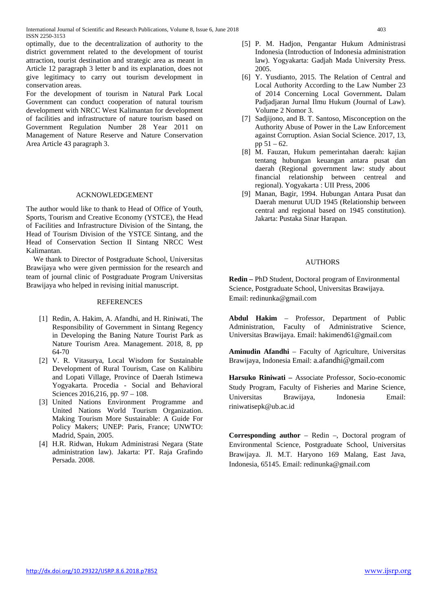optimally, due to the decentralization of authority to the district government related to the development of tourist attraction, tourist destination and strategic area as meant in Article 12 paragraph 3 letter b and its explanation, does not give legitimacy to carry out tourism development in conservation areas.

For the development of tourism in Natural Park Local Government can conduct cooperation of natural tourism development with NRCC West Kalimantan for development of facilities and infrastructure of nature tourism based on Government Regulation Number 28 Year 2011 on Management of Nature Reserve and Nature Conservation Area Article 43 paragraph 3.

#### ACKNOWLEDGEMENT

The author would like to thank to Head of Office of Youth, Sports, Tourism and Creative Economy (YSTCE), the Head of Facilities and Infrastructure Division of the Sintang, the Head of Tourism Division of the YSTCE Sintang, and the Head of Conservation Section II Sintang NRCC West Kalimantan.

We thank to Director of Postgraduate School, Universitas Brawijaya who were given permission for the research and team of journal clinic of Postgraduate Program Universitas Brawijaya who helped in revising initial manuscript.

#### REFERENCES

- [1] Redin, A. Hakim, A. Afandhi, and H. Riniwati, The Responsibility of Government in Sintang Regency in Developing the Baning Nature Tourist Park as Nature Tourism Area. Management. 2018, 8, pp 64-70
- [2] V. R. Vitasurya, Local Wisdom for Sustainable Development of Rural Tourism, Case on Kalibiru and Lopati Village, Province of Daerah Istimewa Yogyakarta. Procedia - Social and Behavioral Sciences 2016,216, pp. 97 – 108.
- [3] United Nations Environment Programme and United Nations World Tourism Organization. Making Tourism More Sustainable: A Guide For Policy Makers; UNEP: Paris, France; UNWTO: Madrid, Spain, 2005.
- [4] H.R. Ridwan, Hukum Administrasi Negara (State administration law). Jakarta: PT. Raja Grafindo Persada. 2008.
- [5] P. M. Hadjon, Pengantar Hukum Administrasi Indonesia (Introduction of Indonesia administration law). Yogyakarta: Gadjah Mada University Press. 2005.
- [6] Y. Yusdianto, 2015. The Relation of Central and Local Authority According to the Law Number 23 of 2014 Concerning Local Government**.** Dalam Padjadjaran Jurnal Ilmu Hukum (Journal of Law). Volume 2 Nomor 3.
- [7] Sadjijono, and B. T. Santoso, Misconception on the Authority Abuse of Power in the Law Enforcement against Corruption. Asian Social Science. 2017, 13, pp 51 – 62.
- [8] M. Fauzan, Hukum pemerintahan daerah: kajian tentang hubungan keuangan antara pusat dan daerah (Regional government law: study about financial relationship between centreal and regional). Yogyakarta : UII Press, 2006
- [9] Manan, Bagir, 1994. Hubungan Antara Pusat dan Daerah menurut UUD 1945 (Relationship between central and regional based on 1945 constitution). Jakarta: Pustaka Sinar Harapan.

#### AUTHORS

**Redin –** PhD Student, Doctoral program of Environmental Science, Postgraduate School, Universitas Brawijaya. Email: redinunka@gmail.com

**Abdul Hakim** – Professor, Department of Public Administration, Faculty of Administrative Science, Universitas Brawijaya. Email: hakimend61@gmail.com

**Aminudin Afandhi** – Faculty of Agriculture, Universitas Brawijaya, Indonesia Email: a.afandhi@gmail.com

**Harsuko Riniwati –** Associate Professor, Socio-economic Study Program, Faculty of Fisheries and Marine Science, Universitas Brawijaya, Indonesia Email: riniwatisepk@ub.ac.id

**Corresponding author** – Redin –, Doctoral program of Environmental Science, Postgraduate School, Universitas Brawijaya. Jl. M.T. Haryono 169 Malang, East Java, Indonesia, 65145. Email: redinunka@gmail.com